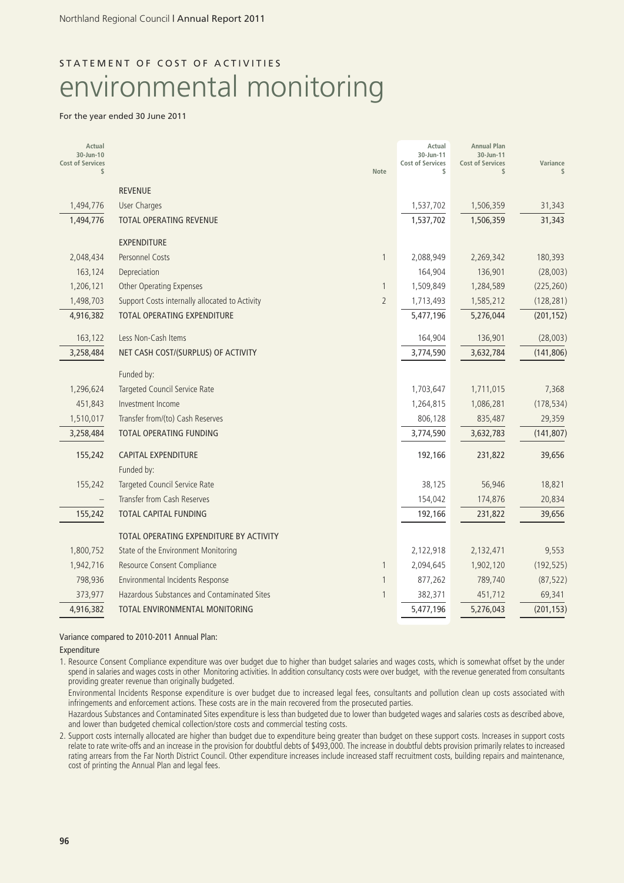# STATEMENT OF COST OF ACTIVITIES environmental monitoring

### For the year ended 30 June 2011

| Actual<br>30-Jun-10<br><b>Cost of Services</b><br>$\mathsf{\$}$ |                                                | Note           | Actual<br>30-Jun-11<br><b>Cost of Services</b><br>\$ | <b>Annual Plan</b><br>30-Jun-11<br><b>Cost of Services</b><br>$\mathsf{s}$ | Variance   |
|-----------------------------------------------------------------|------------------------------------------------|----------------|------------------------------------------------------|----------------------------------------------------------------------------|------------|
|                                                                 | <b>REVENUE</b>                                 |                |                                                      |                                                                            |            |
| 1,494,776                                                       | <b>User Charges</b>                            |                | 1,537,702                                            | 1,506,359                                                                  | 31,343     |
| 1,494,776                                                       | <b>TOTAL OPERATING REVENUE</b>                 |                | 1,537,702                                            | 1,506,359                                                                  | 31,343     |
|                                                                 | <b>EXPENDITURE</b>                             |                |                                                      |                                                                            |            |
| 2,048,434                                                       | Personnel Costs                                | 1              | 2,088,949                                            | 2,269,342                                                                  | 180,393    |
| 163,124                                                         | Depreciation                                   |                | 164,904                                              | 136,901                                                                    | (28,003)   |
| 1,206,121                                                       | <b>Other Operating Expenses</b>                | $\mathbf{1}$   | 1,509,849                                            | 1,284,589                                                                  | (225, 260) |
| 1,498,703                                                       | Support Costs internally allocated to Activity | $\overline{2}$ | 1,713,493                                            | 1,585,212                                                                  | (128, 281) |
| 4,916,382                                                       | <b>TOTAL OPERATING EXPENDITURE</b>             |                | 5,477,196                                            | 5,276,044                                                                  | (201, 152) |
| 163,122                                                         | Less Non-Cash Items                            |                | 164,904                                              | 136,901                                                                    | (28,003)   |
| 3,258,484                                                       | NET CASH COST/(SURPLUS) OF ACTIVITY            |                | 3,774,590                                            | 3,632,784                                                                  | (141, 806) |
|                                                                 | Funded by:                                     |                |                                                      |                                                                            |            |
| 1,296,624                                                       | Targeted Council Service Rate                  |                | 1,703,647                                            | 1,711,015                                                                  | 7,368      |
| 451,843                                                         | Investment Income                              |                | 1,264,815                                            | 1,086,281                                                                  | (178, 534) |
| 1,510,017                                                       | Transfer from/(to) Cash Reserves               |                | 806,128                                              | 835,487                                                                    | 29,359     |
| 3,258,484                                                       | TOTAL OPERATING FUNDING                        |                | 3,774,590                                            | 3,632,783                                                                  | (141, 807) |
| 155,242                                                         | <b>CAPITAL EXPENDITURE</b>                     |                | 192,166                                              | 231,822                                                                    | 39,656     |
|                                                                 | Funded by:                                     |                |                                                      |                                                                            |            |
| 155,242                                                         | Targeted Council Service Rate                  |                | 38,125                                               | 56,946                                                                     | 18,821     |
|                                                                 | Transfer from Cash Reserves                    |                | 154,042                                              | 174,876                                                                    | 20,834     |
| 155,242                                                         | <b>TOTAL CAPITAL FUNDING</b>                   |                | 192,166                                              | 231,822                                                                    | 39,656     |
|                                                                 | TOTAL OPERATING EXPENDITURE BY ACTIVITY        |                |                                                      |                                                                            |            |
| 1,800,752                                                       | State of the Environment Monitoring            |                | 2,122,918                                            | 2,132,471                                                                  | 9,553      |
| 1,942,716                                                       | Resource Consent Compliance                    | $\mathbf{1}$   | 2,094,645                                            | 1,902,120                                                                  | (192, 525) |
| 798,936                                                         | Environmental Incidents Response               | $\mathbf{1}$   | 877,262                                              | 789,740                                                                    | (87, 522)  |
| 373,977                                                         | Hazardous Substances and Contaminated Sites    | $\mathbf{1}$   | 382,371                                              | 451,712                                                                    | 69,341     |
| 4,916,382                                                       | TOTAL ENVIRONMENTAL MONITORING                 |                | 5,477,196                                            | 5,276,043                                                                  | (201, 153) |

### Variance compared to 2010-2011 Annual Plan:

Expenditure

1. Resource Consent Compliance expenditure was over budget due to higher than budget salaries and wages costs, which is somewhat offset by the under spend in salaries and wages costs in other Monitoring activities. In addition consultancy costs were over budget, with the revenue generated from consultants providing greater revenue than originally budgeted.

Environmental Incidents Response expenditure is over budget due to increased legal fees, consultants and pollution clean up costs associated with infringements and enforcement actions. These costs are in the main recovered from the prosecuted parties.

Hazardous Substances and Contaminated Sites expenditure is less than budgeted due to lower than budgeted wages and salaries costs as described above, and lower than budgeted chemical collection/store costs and commercial testing costs.

2. Support costs internally allocated are higher than budget due to expenditure being greater than budget on these support costs. Increases in support costs relate to rate write-offs and an increase in the provision for doubtful debts of \$493,000. The increase in doubtful debts provision primarily relates to increased rating arrears from the Far North District Council. Other expenditure increases include increased staff recruitment costs, building repairs and maintenance, cost of printing the Annual Plan and legal fees.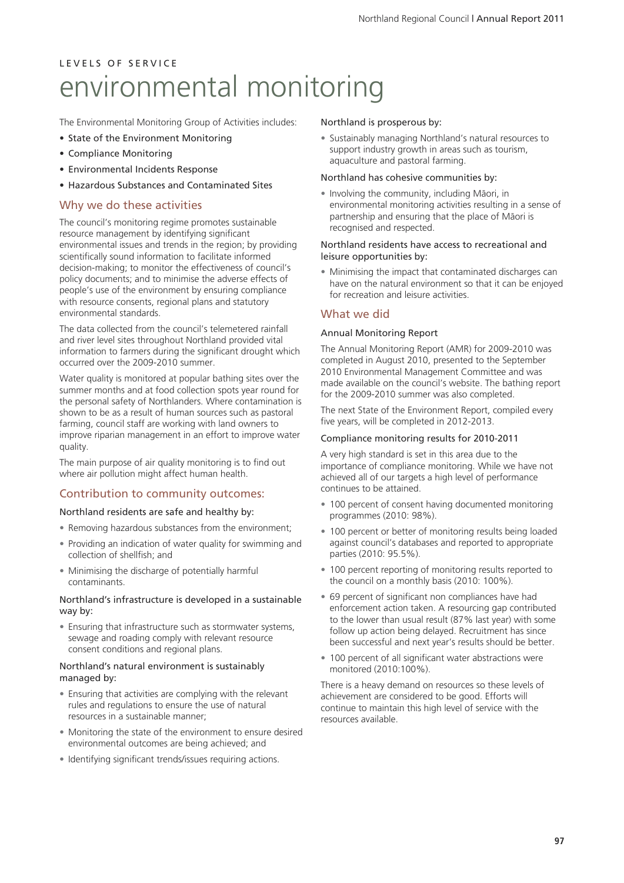The Environmental Monitoring Group of Activities includes:

- State of the Environment Monitoring
- Compliance Monitoring
- Environmental Incidents Response
- Hazardous Substances and Contaminated Sites

### Why we do these activities

The council's monitoring regime promotes sustainable resource management by identifying significant environmental issues and trends in the region; by providing scientifically sound information to facilitate informed decision-making; to monitor the effectiveness of council's policy documents; and to minimise the adverse effects of people's use of the environment by ensuring compliance with resource consents, regional plans and statutory environmental standards.

The data collected from the council's telemetered rainfall and river level sites throughout Northland provided vital information to farmers during the significant drought which occurred over the 2009-2010 summer.

Water quality is monitored at popular bathing sites over the summer months and at food collection spots year round for the personal safety of Northlanders. Where contamination is shown to be as a result of human sources such as pastoral farming, council staff are working with land owners to improve riparian management in an effort to improve water quality.

The main purpose of air quality monitoring is to find out where air pollution might affect human health.

### Contribution to community outcomes:

Northland residents are safe and healthy by:

- Removing hazardous substances from the environment;
- Providing an indication of water quality for swimming and collection of shellfish; and
- Minimising the discharge of potentially harmful contaminants.

### Northland's infrastructure is developed in a sustainable way by:

• Ensuring that infrastructure such as stormwater systems, sewage and roading comply with relevant resource consent conditions and regional plans.

#### Northland's natural environment is sustainably managed by:

- Ensuring that activities are complying with the relevant rules and regulations to ensure the use of natural resources in a sustainable manner;
- Monitoring the state of the environment to ensure desired environmental outcomes are being achieved; and
- Identifying significant trends/issues requiring actions.

### Northland is prosperous by:

• Sustainably managing Northland's natural resources to support industry growth in areas such as tourism, aquaculture and pastoral farming.

#### Northland has cohesive communities by:

• Involving the community, including Mäori, in environmental monitoring activities resulting in a sense of partnership and ensuring that the place of Mäori is recognised and respected.

#### Northland residents have access to recreational and leisure opportunities by:

• Minimising the impact that contaminated discharges can have on the natural environment so that it can be enjoyed for recreation and leisure activities.

### What we did

### Annual Monitoring Report

The Annual Monitoring Report (AMR) for 2009-2010 was completed in August 2010, presented to the September 2010 Environmental Management Committee and was made available on the council's website. The bathing report for the 2009-2010 summer was also completed.

The next State of the Environment Report, compiled every five years, will be completed in 2012-2013.

### Compliance monitoring results for 2010-2011

A very high standard is set in this area due to the importance of compliance monitoring. While we have not achieved all of our targets a high level of performance continues to be attained.

- 100 percent of consent having documented monitoring programmes (2010: 98%).
- 100 percent or better of monitoring results being loaded against council's databases and reported to appropriate parties (2010: 95.5%).
- 100 percent reporting of monitoring results reported to the council on a monthly basis (2010: 100%).
- 69 percent of significant non compliances have had enforcement action taken. A resourcing gap contributed to the lower than usual result (87% last year) with some follow up action being delayed. Recruitment has since been successful and next year's results should be better.
- 100 percent of all significant water abstractions were monitored (2010:100%).

There is a heavy demand on resources so these levels of achievement are considered to be good. Efforts will continue to maintain this high level of service with the resources available.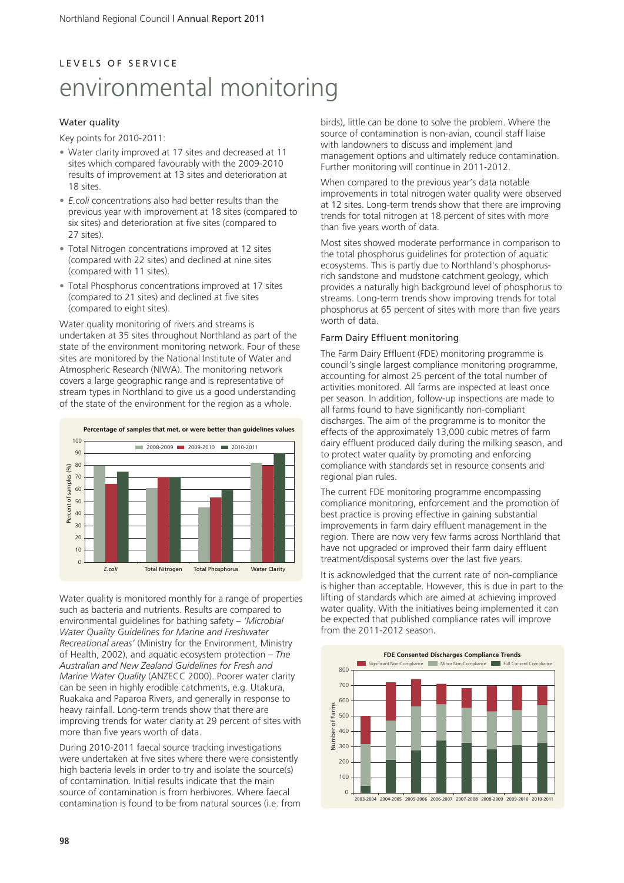### Water quality

Key points for 2010-2011:

- Water clarity improved at 17 sites and decreased at 11 sites which compared favourably with the 2009-2010 results of improvement at 13 sites and deterioration at 18 sites.
- *E.coli* concentrations also had better results than the previous year with improvement at 18 sites (compared to six sites) and deterioration at five sites (compared to 27 sites).
- Total Nitrogen concentrations improved at 12 sites (compared with 22 sites) and declined at nine sites (compared with 11 sites).
- Total Phosphorus concentrations improved at 17 sites (compared to 21 sites) and declined at five sites (compared to eight sites).

Water quality monitoring of rivers and streams is undertaken at 35 sites throughout Northland as part of the state of the environment monitoring network. Four of these sites are monitored by the National Institute of Water and Atmospheric Research (NIWA). The monitoring network covers a large geographic range and is representative of stream types in Northland to give us a good understanding of the state of the environment for the region as a whole.



Water quality is monitored monthly for a range of properties such as bacteria and nutrients. Results are compared to environmental guidelines for bathing safety – *'Microbial Water Quality Guidelines for Marine and Freshwater Recreational areas'* (Ministry for the Environment, Ministry of Health, 2002), and aquatic ecosystem protection – *The Australian and New Zealand Guidelines for Fresh and Marine Water Quality* (ANZECC 2000). Poorer water clarity can be seen in highly erodible catchments, e.g. Utakura, Ruakaka and Paparoa Rivers, and generally in response to heavy rainfall. Long-term trends show that there are improving trends for water clarity at 29 percent of sites with more than five years worth of data.

During 2010-2011 faecal source tracking investigations were undertaken at five sites where there were consistently high bacteria levels in order to try and isolate the source(s) of contamination. Initial results indicate that the main source of contamination is from herbivores. Where faecal contamination is found to be from natural sources (i.e. from birds), little can be done to solve the problem. Where the source of contamination is non-avian, council staff liaise with landowners to discuss and implement land management options and ultimately reduce contamination. Further monitoring will continue in 2011-2012.

When compared to the previous year's data notable improvements in total nitrogen water quality were observed at 12 sites. Long-term trends show that there are improving trends for total nitrogen at 18 percent of sites with more than five years worth of data.

Most sites showed moderate performance in comparison to the total phosphorus guidelines for protection of aquatic ecosystems. This is partly due to Northland's phosphorusrich sandstone and mudstone catchment geology, which provides a naturally high background level of phosphorus to streams. Long-term trends show improving trends for total phosphorus at 65 percent of sites with more than five years worth of data.

### Farm Dairy Effluent monitoring

The Farm Dairy Effluent (FDE) monitoring programme is council's single largest compliance monitoring programme, accounting for almost 25 percent of the total number of activities monitored. All farms are inspected at least once per season. In addition, follow-up inspections are made to all farms found to have significantly non-compliant discharges. The aim of the programme is to monitor the effects of the approximately 13,000 cubic metres of farm dairy effluent produced daily during the milking season, and to protect water quality by promoting and enforcing compliance with standards set in resource consents and regional plan rules.

The current FDE monitoring programme encompassing compliance monitoring, enforcement and the promotion of best practice is proving effective in gaining substantial improvements in farm dairy effluent management in the region. There are now very few farms across Northland that have not upgraded or improved their farm dairy effluent treatment/disposal systems over the last five years.

It is acknowledged that the current rate of non-compliance is higher than acceptable. However, this is due in part to the lifting of standards which are aimed at achieving improved water quality. With the initiatives being implemented it can be expected that published compliance rates will improve from the 2011-2012 season.

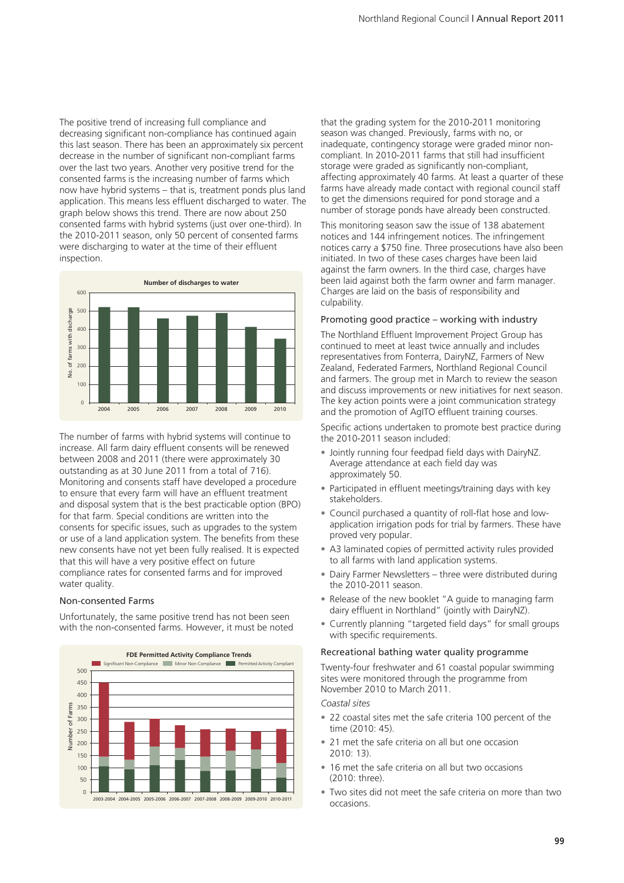The positive trend of increasing full compliance and decreasing significant non-compliance has continued again this last season. There has been an approximately six percent decrease in the number of significant non-compliant farms over the last two years. Another very positive trend for the consented farms is the increasing number of farms which now have hybrid systems – that is, treatment ponds plus land application. This means less effluent discharged to water. The graph below shows this trend. There are now about 250 consented farms with hybrid systems (just over one-third). In the 2010-2011 season, only 50 percent of consented farms were discharging to water at the time of their effluent inspection.



The number of farms with hybrid systems will continue to increase. All farm dairy effluent consents will be renewed between 2008 and 2011 (there were approximately 30 outstanding as at 30 June 2011 from a total of 716). Monitoring and consents staff have developed a procedure to ensure that every farm will have an effluent treatment and disposal system that is the best practicable option (BPO) for that farm. Special conditions are written into the consents for specific issues, such as upgrades to the system or use of a land application system. The benefits from these new consents have not yet been fully realised. It is expected that this will have a very positive effect on future compliance rates for consented farms and for improved water quality.

#### Non-consented Farms

Unfortunately, the same positive trend has not been seen with the non-consented farms. However, it must be noted



that the grading system for the 2010-2011 monitoring season was changed. Previously, farms with no, or inadequate, contingency storage were graded minor noncompliant. In 2010-2011 farms that still had insufficient storage were graded as significantly non-compliant, affecting approximately 40 farms. At least a quarter of these farms have already made contact with regional council staff to get the dimensions required for pond storage and a number of storage ponds have already been constructed.

This monitoring season saw the issue of 138 abatement notices and 144 infringement notices. The infringement notices carry a \$750 fine. Three prosecutions have also been initiated. In two of these cases charges have been laid against the farm owners. In the third case, charges have been laid against both the farm owner and farm manager. Charges are laid on the basis of responsibility and culpability.

#### Promoting good practice – working with industry

The Northland Effluent Improvement Project Group has continued to meet at least twice annually and includes representatives from Fonterra, DairyNZ, Farmers of New Zealand, Federated Farmers, Northland Regional Council and farmers. The group met in March to review the season and discuss improvements or new initiatives for next season. The key action points were a joint communication strategy and the promotion of AgITO effluent training courses.

Specific actions undertaken to promote best practice during the 2010-2011 season included:

- Jointly running four feedpad field days with DairyNZ. Average attendance at each field day was approximately 50.
- Participated in effluent meetings/training days with key stakeholders.
- Council purchased a quantity of roll-flat hose and lowapplication irrigation pods for trial by farmers. These have proved very popular.
- A3 laminated copies of permitted activity rules provided to all farms with land application systems.
- Dairy Farmer Newsletters three were distributed during the 2010-2011 season.
- Release of the new booklet "A guide to managing farm dairy effluent in Northland" (jointly with DairyNZ).
- Currently planning "targeted field days" for small groups with specific requirements.

#### Recreational bathing water quality programme

Twenty-four freshwater and 61 coastal popular swimming sites were monitored through the programme from November 2010 to March 2011.

*Coastal sites*

- 22 coastal sites met the safe criteria 100 percent of the time (2010: 45).
- 21 met the safe criteria on all but one occasion  $2010:13$
- 16 met the safe criteria on all but two occasions (2010: three).
- Two sites did not meet the safe criteria on more than two occasions.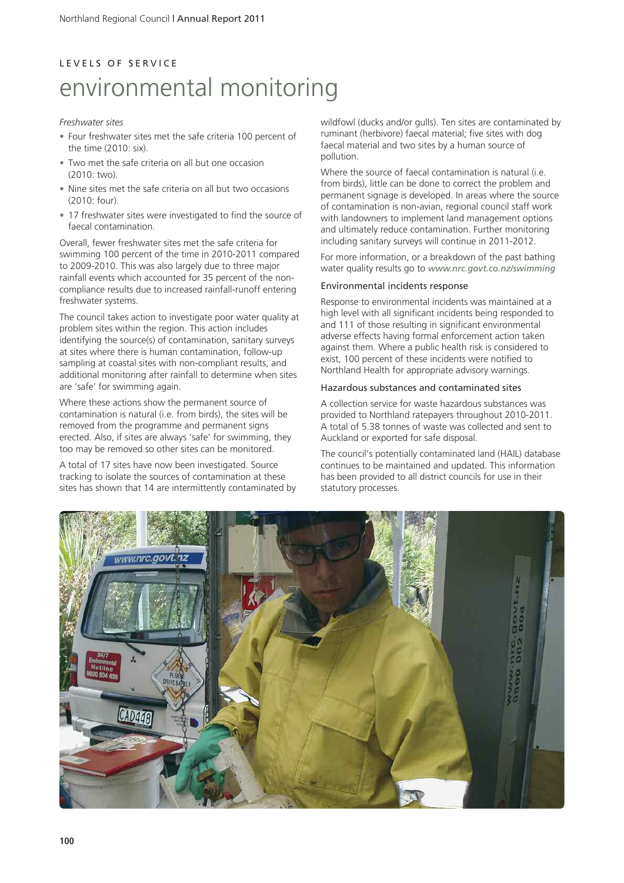# L E V E L S O F S E R V I C E environmental monitoring

### *Freshwater sites*

- Four freshwater sites met the safe criteria 100 percent of the time (2010: six).
- Two met the safe criteria on all but one occasion  $(2010:$  two)
- Nine sites met the safe criteria on all but two occasions (2010: four).
- 17 freshwater sites were investigated to find the source of faecal contamination.

Overall, fewer freshwater sites met the safe criteria for swimming 100 percent of the time in 2010-2011 compared to 2009-2010. This was also largely due to three major rainfall events which accounted for 35 percent of the noncompliance results due to increased rainfall-runoff entering freshwater systems.

The council takes action to investigate poor water quality at problem sites within the region. This action includes identifying the source(s) of contamination, sanitary surveys at sites where there is human contamination, follow-up sampling at coastal sites with non-compliant results, and additional monitoring after rainfall to determine when sites are 'safe' for swimming again.

Where these actions show the permanent source of contamination is natural (i.e. from birds), the sites will be removed from the programme and permanent signs erected. Also, if sites are always 'safe' for swimming, they too may be removed so other sites can be monitored.

A total of 17 sites have now been investigated. Source tracking to isolate the sources of contamination at these sites has shown that 14 are intermittently contaminated by wildfowl (ducks and/or gulls). Ten sites are contaminated by ruminant (herbivore) faecal material; five sites with dog faecal material and two sites by a human source of pollution.

Where the source of faecal contamination is natural (i.e. from birds), little can be done to correct the problem and permanent signage is developed. In areas where the source of contamination is non-avian, regional council staff work with landowners to implement land management options and ultimately reduce contamination. Further monitoring including sanitary surveys will continue in 2011-2012.

For more information, or a breakdown of the past bathing water quality results go to *www.nrc.govt.co.nz/swimming*

### Environmental incidents response

Response to environmental incidents was maintained at a high level with all significant incidents being responded to and 111 of those resulting in significant environmental adverse effects having formal enforcement action taken against them. Where a public health risk is considered to exist, 100 percent of these incidents were notified to Northland Health for appropriate advisory warnings.

### Hazardous substances and contaminated sites

A collection service for waste hazardous substances was provided to Northland ratepayers throughout 2010-2011. A total of 5.38 tonnes of waste was collected and sent to Auckland or exported for safe disposal.

The council's potentially contaminated land (HAIL) database continues to be maintained and updated. This information has been provided to all district councils for use in their statutory processes.

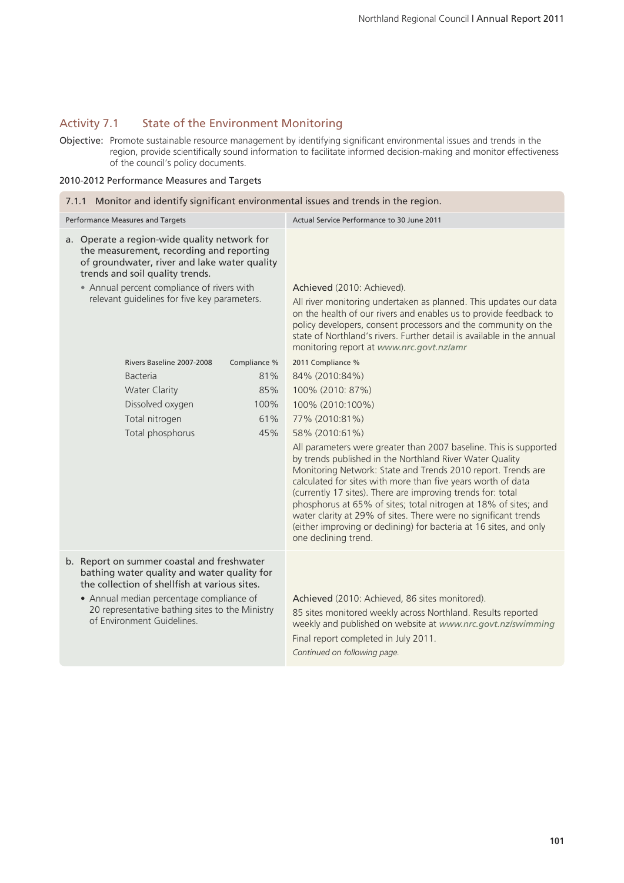### Activity 7.1 State of the Environment Monitoring

Objective: Promote sustainable resource management by identifying significant environmental issues and trends in the region, provide scientifically sound information to facilitate informed decision-making and monitor effectiveness of the council's policy documents.

### 2010-2012 Performance Measures and Targets

| 7.1.1 Monitor and identify significant environmental issues and trends in the region.                                                                                                                                                                                     |                                                                                                                                                                                                                                                                                                                                                                                                                                                                                                                                                                  |  |  |
|---------------------------------------------------------------------------------------------------------------------------------------------------------------------------------------------------------------------------------------------------------------------------|------------------------------------------------------------------------------------------------------------------------------------------------------------------------------------------------------------------------------------------------------------------------------------------------------------------------------------------------------------------------------------------------------------------------------------------------------------------------------------------------------------------------------------------------------------------|--|--|
| Performance Measures and Targets                                                                                                                                                                                                                                          | Actual Service Performance to 30 June 2011                                                                                                                                                                                                                                                                                                                                                                                                                                                                                                                       |  |  |
| a. Operate a region-wide quality network for<br>the measurement, recording and reporting<br>of groundwater, river and lake water quality<br>trends and soil quality trends.<br>• Annual percent compliance of rivers with<br>relevant guidelines for five key parameters. | Achieved (2010: Achieved).<br>All river monitoring undertaken as planned. This updates our data<br>on the health of our rivers and enables us to provide feedback to<br>policy developers, consent processors and the community on the<br>state of Northland's rivers. Further detail is available in the annual<br>monitoring report at www.nrc.govt.nz/amr                                                                                                                                                                                                     |  |  |
| Rivers Baseline 2007-2008<br>Compliance %                                                                                                                                                                                                                                 | 2011 Compliance %                                                                                                                                                                                                                                                                                                                                                                                                                                                                                                                                                |  |  |
| <b>Bacteria</b><br>81%                                                                                                                                                                                                                                                    | 84% (2010:84%)                                                                                                                                                                                                                                                                                                                                                                                                                                                                                                                                                   |  |  |
| 85%<br><b>Water Clarity</b><br>Dissolved oxygen<br>100%                                                                                                                                                                                                                   | 100% (2010: 87%)                                                                                                                                                                                                                                                                                                                                                                                                                                                                                                                                                 |  |  |
| Total nitrogen<br>61%                                                                                                                                                                                                                                                     | 100% (2010:100%)<br>77% (2010:81%)                                                                                                                                                                                                                                                                                                                                                                                                                                                                                                                               |  |  |
| Total phosphorus<br>45%                                                                                                                                                                                                                                                   | 58% (2010:61%)                                                                                                                                                                                                                                                                                                                                                                                                                                                                                                                                                   |  |  |
|                                                                                                                                                                                                                                                                           | All parameters were greater than 2007 baseline. This is supported<br>by trends published in the Northland River Water Quality<br>Monitoring Network: State and Trends 2010 report. Trends are<br>calculated for sites with more than five years worth of data<br>(currently 17 sites). There are improving trends for: total<br>phosphorus at 65% of sites; total nitrogen at 18% of sites; and<br>water clarity at 29% of sites. There were no significant trends<br>(either improving or declining) for bacteria at 16 sites, and only<br>one declining trend. |  |  |
| b. Report on summer coastal and freshwater<br>bathing water quality and water quality for<br>the collection of shellfish at various sites.<br>• Annual median percentage compliance of<br>20 representative bathing sites to the Ministry<br>of Environment Guidelines.   | Achieved (2010: Achieved, 86 sites monitored).<br>85 sites monitored weekly across Northland. Results reported<br>weekly and published on website at www.nrc.govt.nz/swimming<br>Final report completed in July 2011.<br>Continued on following page.                                                                                                                                                                                                                                                                                                            |  |  |
|                                                                                                                                                                                                                                                                           |                                                                                                                                                                                                                                                                                                                                                                                                                                                                                                                                                                  |  |  |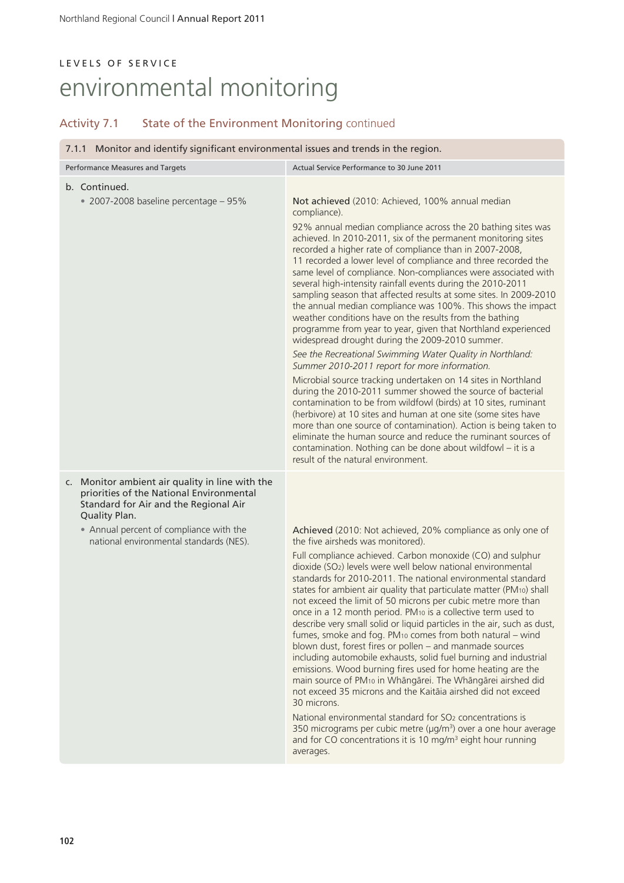| 7.1.1 Monitor and identify significant environmental issues and trends in the region.                                                                 |                                                                                                                                                                                                                                                                                                                                                                                                                                                                                                                                                                                                                                                                                                                                                                                                                                                                                                                                                                                                                                                                                                                                                                                                                                                                                                                                             |  |
|-------------------------------------------------------------------------------------------------------------------------------------------------------|---------------------------------------------------------------------------------------------------------------------------------------------------------------------------------------------------------------------------------------------------------------------------------------------------------------------------------------------------------------------------------------------------------------------------------------------------------------------------------------------------------------------------------------------------------------------------------------------------------------------------------------------------------------------------------------------------------------------------------------------------------------------------------------------------------------------------------------------------------------------------------------------------------------------------------------------------------------------------------------------------------------------------------------------------------------------------------------------------------------------------------------------------------------------------------------------------------------------------------------------------------------------------------------------------------------------------------------------|--|
| Performance Measures and Targets                                                                                                                      | Actual Service Performance to 30 June 2011                                                                                                                                                                                                                                                                                                                                                                                                                                                                                                                                                                                                                                                                                                                                                                                                                                                                                                                                                                                                                                                                                                                                                                                                                                                                                                  |  |
| b. Continued.<br>$\cdot$ 2007-2008 baseline percentage - 95%                                                                                          | Not achieved (2010: Achieved, 100% annual median                                                                                                                                                                                                                                                                                                                                                                                                                                                                                                                                                                                                                                                                                                                                                                                                                                                                                                                                                                                                                                                                                                                                                                                                                                                                                            |  |
|                                                                                                                                                       | compliance).                                                                                                                                                                                                                                                                                                                                                                                                                                                                                                                                                                                                                                                                                                                                                                                                                                                                                                                                                                                                                                                                                                                                                                                                                                                                                                                                |  |
|                                                                                                                                                       | 92% annual median compliance across the 20 bathing sites was<br>achieved. In 2010-2011, six of the permanent monitoring sites<br>recorded a higher rate of compliance than in 2007-2008,<br>11 recorded a lower level of compliance and three recorded the<br>same level of compliance. Non-compliances were associated with<br>several high-intensity rainfall events during the 2010-2011<br>sampling season that affected results at some sites. In 2009-2010<br>the annual median compliance was 100%. This shows the impact<br>weather conditions have on the results from the bathing<br>programme from year to year, given that Northland experienced<br>widespread drought during the 2009-2010 summer.<br>See the Recreational Swimming Water Quality in Northland:<br>Summer 2010-2011 report for more information.<br>Microbial source tracking undertaken on 14 sites in Northland<br>during the 2010-2011 summer showed the source of bacterial<br>contamination to be from wildfowl (birds) at 10 sites, ruminant<br>(herbivore) at 10 sites and human at one site (some sites have<br>more than one source of contamination). Action is being taken to<br>eliminate the human source and reduce the ruminant sources of<br>contamination. Nothing can be done about wildfowl - it is a<br>result of the natural environment. |  |
| c. Monitor ambient air quality in line with the<br>priorities of the National Environmental<br>Standard for Air and the Regional Air<br>Quality Plan. |                                                                                                                                                                                                                                                                                                                                                                                                                                                                                                                                                                                                                                                                                                                                                                                                                                                                                                                                                                                                                                                                                                                                                                                                                                                                                                                                             |  |
| • Annual percent of compliance with the<br>national environmental standards (NES).                                                                    | Achieved (2010: Not achieved, 20% compliance as only one of<br>the five airsheds was monitored).<br>Full compliance achieved. Carbon monoxide (CO) and sulphur                                                                                                                                                                                                                                                                                                                                                                                                                                                                                                                                                                                                                                                                                                                                                                                                                                                                                                                                                                                                                                                                                                                                                                              |  |
|                                                                                                                                                       | dioxide (SO <sub>2</sub> ) levels were well below national environmental<br>standards for 2010-2011. The national environmental standard<br>states for ambient air quality that particulate matter (PM10) shall<br>not exceed the limit of 50 microns per cubic metre more than<br>once in a 12 month period. PM10 is a collective term used to<br>describe very small solid or liquid particles in the air, such as dust,<br>fumes, smoke and fog. PM10 comes from both natural - wind<br>blown dust, forest fires or pollen - and manmade sources<br>including automobile exhausts, solid fuel burning and industrial<br>emissions. Wood burning fires used for home heating are the<br>main source of PM10 in Whāngārei. The Whāngārei airshed did<br>not exceed 35 microns and the Kaitāia airshed did not exceed<br>30 microns.                                                                                                                                                                                                                                                                                                                                                                                                                                                                                                        |  |
|                                                                                                                                                       | National environmental standard for SO <sub>2</sub> concentrations is<br>350 micrograms per cubic metre (µg/m <sup>3</sup> ) over a one hour average<br>and for CO concentrations it is 10 mg/m <sup>3</sup> eight hour running<br>averages.                                                                                                                                                                                                                                                                                                                                                                                                                                                                                                                                                                                                                                                                                                                                                                                                                                                                                                                                                                                                                                                                                                |  |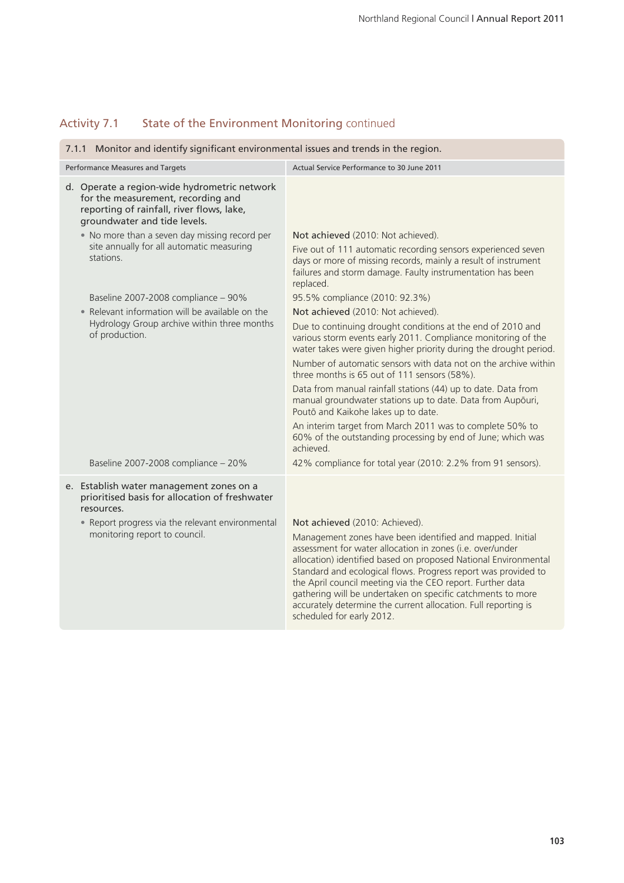| 7.1.1 Monitor and identify significant environmental issues and trends in the region.                                                                                                         |                                                                                                                                                                                                                                                                                                                                                                                                                                                                                                                                                                                                                       |  |
|-----------------------------------------------------------------------------------------------------------------------------------------------------------------------------------------------|-----------------------------------------------------------------------------------------------------------------------------------------------------------------------------------------------------------------------------------------------------------------------------------------------------------------------------------------------------------------------------------------------------------------------------------------------------------------------------------------------------------------------------------------------------------------------------------------------------------------------|--|
| Performance Measures and Targets                                                                                                                                                              | Actual Service Performance to 30 June 2011                                                                                                                                                                                                                                                                                                                                                                                                                                                                                                                                                                            |  |
| d. Operate a region-wide hydrometric network<br>for the measurement, recording and<br>reporting of rainfall, river flows, lake,<br>groundwater and tide levels.                               |                                                                                                                                                                                                                                                                                                                                                                                                                                                                                                                                                                                                                       |  |
| • No more than a seven day missing record per<br>site annually for all automatic measuring<br>stations.                                                                                       | Not achieved (2010: Not achieved).<br>Five out of 111 automatic recording sensors experienced seven<br>days or more of missing records, mainly a result of instrument<br>failures and storm damage. Faulty instrumentation has been<br>replaced.                                                                                                                                                                                                                                                                                                                                                                      |  |
| Baseline 2007-2008 compliance - 90%                                                                                                                                                           | 95.5% compliance (2010: 92.3%)                                                                                                                                                                                                                                                                                                                                                                                                                                                                                                                                                                                        |  |
| • Relevant information will be available on the                                                                                                                                               | Not achieved (2010: Not achieved).                                                                                                                                                                                                                                                                                                                                                                                                                                                                                                                                                                                    |  |
| Hydrology Group archive within three months<br>of production.                                                                                                                                 | Due to continuing drought conditions at the end of 2010 and<br>various storm events early 2011. Compliance monitoring of the<br>water takes were given higher priority during the drought period.<br>Number of automatic sensors with data not on the archive within<br>three months is 65 out of 111 sensors (58%).<br>Data from manual rainfall stations (44) up to date. Data from<br>manual groundwater stations up to date. Data from Aupōuri,<br>Poutō and Kaikohe lakes up to date.<br>An interim target from March 2011 was to complete 50% to<br>60% of the outstanding processing by end of June; which was |  |
|                                                                                                                                                                                               | achieved.                                                                                                                                                                                                                                                                                                                                                                                                                                                                                                                                                                                                             |  |
| Baseline 2007-2008 compliance - 20%                                                                                                                                                           | 42% compliance for total year (2010: 2.2% from 91 sensors).                                                                                                                                                                                                                                                                                                                                                                                                                                                                                                                                                           |  |
| e. Establish water management zones on a<br>prioritised basis for allocation of freshwater<br>resources.<br>• Report progress via the relevant environmental<br>monitoring report to council. | Not achieved (2010: Achieved).<br>Management zones have been identified and mapped. Initial<br>assessment for water allocation in zones (i.e. over/under<br>allocation) identified based on proposed National Environmental<br>Standard and ecological flows. Progress report was provided to<br>the April council meeting via the CEO report. Further data<br>gathering will be undertaken on specific catchments to more<br>accurately determine the current allocation. Full reporting is<br>scheduled for early 2012.                                                                                             |  |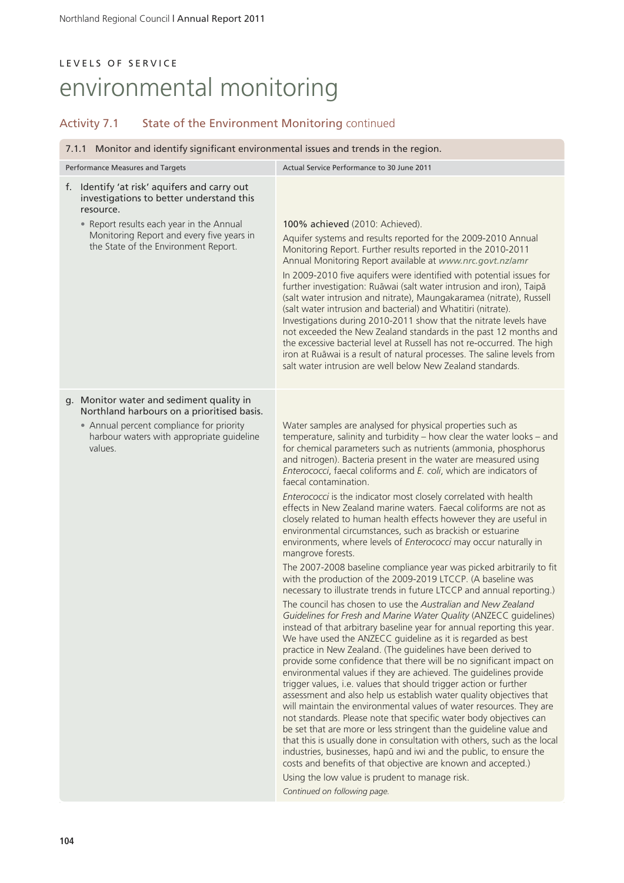| 7.1.1 Monitor and identify significant environmental issues and trends in the region.                                                                                                                                                  |                                                                                                                                                                                                                                                                                                                                                                                                                                                                                                                                                                                                                                                                                                                                                                                                                                                                                                                                                                                                                                                                                                                                                                                                                                                                                                                                                                                                                                                                                                                                                                                                                                                                                                                                                                                                                                                                                                                                                                                                                                                                                                                                |  |
|----------------------------------------------------------------------------------------------------------------------------------------------------------------------------------------------------------------------------------------|--------------------------------------------------------------------------------------------------------------------------------------------------------------------------------------------------------------------------------------------------------------------------------------------------------------------------------------------------------------------------------------------------------------------------------------------------------------------------------------------------------------------------------------------------------------------------------------------------------------------------------------------------------------------------------------------------------------------------------------------------------------------------------------------------------------------------------------------------------------------------------------------------------------------------------------------------------------------------------------------------------------------------------------------------------------------------------------------------------------------------------------------------------------------------------------------------------------------------------------------------------------------------------------------------------------------------------------------------------------------------------------------------------------------------------------------------------------------------------------------------------------------------------------------------------------------------------------------------------------------------------------------------------------------------------------------------------------------------------------------------------------------------------------------------------------------------------------------------------------------------------------------------------------------------------------------------------------------------------------------------------------------------------------------------------------------------------------------------------------------------------|--|
| Performance Measures and Targets                                                                                                                                                                                                       | Actual Service Performance to 30 June 2011                                                                                                                                                                                                                                                                                                                                                                                                                                                                                                                                                                                                                                                                                                                                                                                                                                                                                                                                                                                                                                                                                                                                                                                                                                                                                                                                                                                                                                                                                                                                                                                                                                                                                                                                                                                                                                                                                                                                                                                                                                                                                     |  |
| f. Identify 'at risk' aquifers and carry out<br>investigations to better understand this<br>resource.<br>• Report results each year in the Annual<br>Monitoring Report and every five years in<br>the State of the Environment Report. | 100% achieved (2010: Achieved).<br>Aquifer systems and results reported for the 2009-2010 Annual<br>Monitoring Report. Further results reported in the 2010-2011<br>Annual Monitoring Report available at www.nrc.govt.nz/amr<br>In 2009-2010 five aquifers were identified with potential issues for<br>further investigation: Ruāwai (salt water intrusion and iron), Taipā<br>(salt water intrusion and nitrate), Maungakaramea (nitrate), Russell<br>(salt water intrusion and bacterial) and Whatitiri (nitrate).<br>Investigations during 2010-2011 show that the nitrate levels have<br>not exceeded the New Zealand standards in the past 12 months and<br>the excessive bacterial level at Russell has not re-occurred. The high<br>iron at Ruāwai is a result of natural processes. The saline levels from<br>salt water intrusion are well below New Zealand standards.                                                                                                                                                                                                                                                                                                                                                                                                                                                                                                                                                                                                                                                                                                                                                                                                                                                                                                                                                                                                                                                                                                                                                                                                                                             |  |
| g. Monitor water and sediment quality in<br>Northland harbours on a prioritised basis.<br>• Annual percent compliance for priority<br>harbour waters with appropriate guideline<br>values.                                             | Water samples are analysed for physical properties such as<br>temperature, salinity and turbidity - how clear the water looks - and<br>for chemical parameters such as nutrients (ammonia, phosphorus<br>and nitrogen). Bacteria present in the water are measured using<br>Enterococci, faecal coliforms and E. coli, which are indicators of<br>faecal contamination.<br>Enterococci is the indicator most closely correlated with health<br>effects in New Zealand marine waters. Faecal coliforms are not as<br>closely related to human health effects however they are useful in<br>environmental circumstances, such as brackish or estuarine<br>environments, where levels of Enterococci may occur naturally in<br>mangrove forests.<br>The 2007-2008 baseline compliance year was picked arbitrarily to fit<br>with the production of the 2009-2019 LTCCP. (A baseline was<br>necessary to illustrate trends in future LTCCP and annual reporting.)<br>The council has chosen to use the Australian and New Zealand<br>Guidelines for Fresh and Marine Water Quality (ANZECC guidelines)<br>instead of that arbitrary baseline year for annual reporting this year.<br>We have used the ANZECC guideline as it is regarded as best<br>practice in New Zealand. (The guidelines have been derived to<br>provide some confidence that there will be no significant impact on<br>environmental values if they are achieved. The guidelines provide<br>trigger values, i.e. values that should trigger action or further<br>assessment and also help us establish water quality objectives that<br>will maintain the environmental values of water resources. They are<br>not standards. Please note that specific water body objectives can<br>be set that are more or less stringent than the guideline value and<br>that this is usually done in consultation with others, such as the local<br>industries, businesses, hapū and iwi and the public, to ensure the<br>costs and benefits of that objective are known and accepted.)<br>Using the low value is prudent to manage risk.<br>Continued on following page. |  |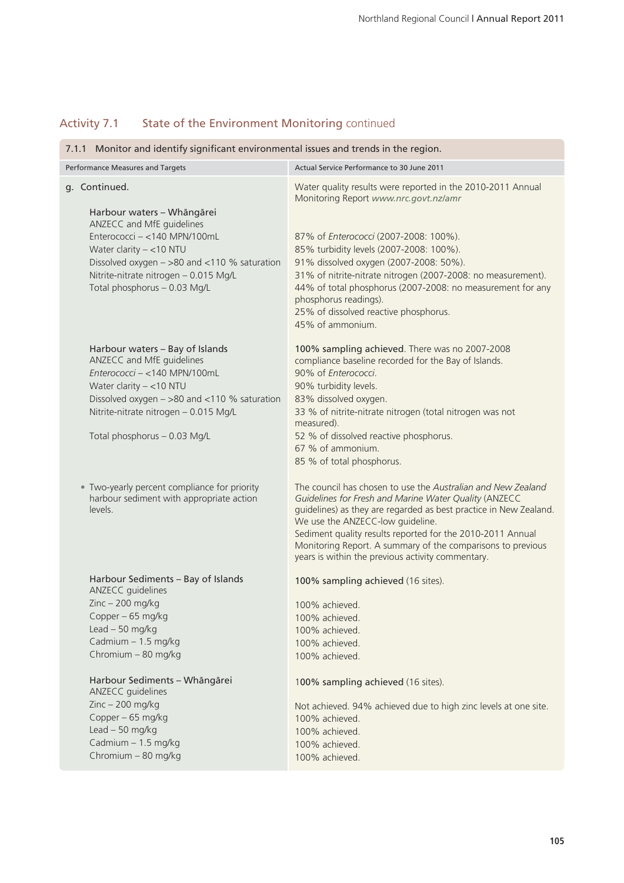| 7.1.1 Monitor and identify significant environmental issues and trends in the region.                                                                                                                                                                          |                                                                                                                                                                                                                                                                                                                                                                                                                                                        |  |  |
|----------------------------------------------------------------------------------------------------------------------------------------------------------------------------------------------------------------------------------------------------------------|--------------------------------------------------------------------------------------------------------------------------------------------------------------------------------------------------------------------------------------------------------------------------------------------------------------------------------------------------------------------------------------------------------------------------------------------------------|--|--|
| Performance Measures and Targets                                                                                                                                                                                                                               | Actual Service Performance to 30 June 2011                                                                                                                                                                                                                                                                                                                                                                                                             |  |  |
| g. Continued.<br>Harbour waters - Whāngārei<br>ANZECC and MfE guidelines<br>Enterococci - <140 MPN/100mL<br>Water clarity $-$ <10 NTU<br>Dissolved oxygen - >80 and <110 % saturation<br>Nitrite-nitrate nitrogen - 0.015 Mg/L<br>Total phosphorus - 0.03 Mg/L | Water quality results were reported in the 2010-2011 Annual<br>Monitoring Report www.nrc.govt.nz/amr<br>87% of Enterococci (2007-2008: 100%).<br>85% turbidity levels (2007-2008: 100%).<br>91% dissolved oxygen (2007-2008: 50%).<br>31% of nitrite-nitrate nitrogen (2007-2008: no measurement).<br>44% of total phosphorus (2007-2008: no measurement for any<br>phosphorus readings).<br>25% of dissolved reactive phosphorus.<br>45% of ammonium. |  |  |
| Harbour waters - Bay of Islands<br>ANZECC and MfE guidelines<br>Enterococci - <140 MPN/100mL<br>Water clarity $-$ <10 NTU<br>Dissolved oxygen - >80 and <110 % saturation<br>Nitrite-nitrate nitrogen - 0.015 Mg/L<br>Total phosphorus - 0.03 Mg/L             | 100% sampling achieved. There was no 2007-2008<br>compliance baseline recorded for the Bay of Islands.<br>90% of Enterococci.<br>90% turbidity levels.<br>83% dissolved oxygen.<br>33 % of nitrite-nitrate nitrogen (total nitrogen was not<br>measured).<br>52 % of dissolved reactive phosphorus.<br>67 % of ammonium.<br>85 % of total phosphorus.                                                                                                  |  |  |
| • Two-yearly percent compliance for priority<br>harbour sediment with appropriate action<br>levels.                                                                                                                                                            | The council has chosen to use the Australian and New Zealand<br>Guidelines for Fresh and Marine Water Quality (ANZECC<br>guidelines) as they are regarded as best practice in New Zealand.<br>We use the ANZECC-low guideline.<br>Sediment quality results reported for the 2010-2011 Annual<br>Monitoring Report. A summary of the comparisons to previous<br>years is within the previous activity commentary.                                       |  |  |
| Harbour Sediments - Bay of Islands<br>ANZECC guidelines<br>$Zinc - 200$ mg/kg<br>Copper - 65 mg/kg<br>Lead $-50$ mg/kg<br>Cadmium - 1.5 mg/kg<br>Chromium - 80 mg/kg                                                                                           | 100% sampling achieved (16 sites).<br>100% achieved.<br>100% achieved.<br>100% achieved.<br>100% achieved.<br>100% achieved.                                                                                                                                                                                                                                                                                                                           |  |  |
| Harbour Sediments - Whāngārei<br>ANZECC guidelines<br>$Zinc - 200$ mg/kg<br>Copper - 65 mg/kg<br>Lead $-50$ mg/kg<br>Cadmium - 1.5 mg/kg<br>Chromium - 80 mg/kg                                                                                                | 100% sampling achieved (16 sites).<br>Not achieved. 94% achieved due to high zinc levels at one site.<br>100% achieved.<br>100% achieved.<br>100% achieved.<br>100% achieved.                                                                                                                                                                                                                                                                          |  |  |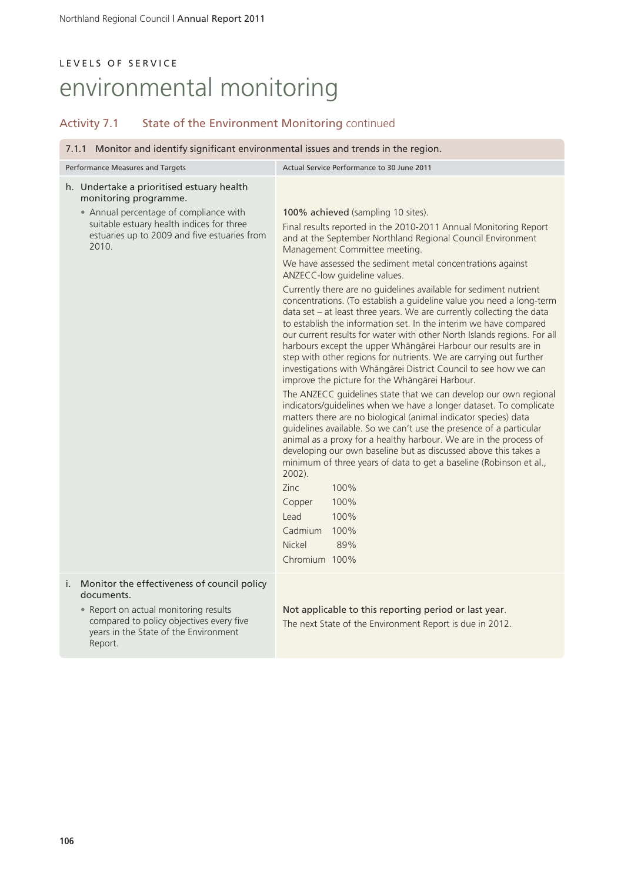| 7.1.1 Monitor and identify significant environmental issues and trends in the region.                                                                                                                              |                                                                                                                                                                                                                                                                                                                                                                                                                                                                                                                                                                                                                                                                                                                                                                                                                                                                                                                                                                                                                                                                                                                                                                                                                                                                                                                                                                                                                                                                        |  |
|--------------------------------------------------------------------------------------------------------------------------------------------------------------------------------------------------------------------|------------------------------------------------------------------------------------------------------------------------------------------------------------------------------------------------------------------------------------------------------------------------------------------------------------------------------------------------------------------------------------------------------------------------------------------------------------------------------------------------------------------------------------------------------------------------------------------------------------------------------------------------------------------------------------------------------------------------------------------------------------------------------------------------------------------------------------------------------------------------------------------------------------------------------------------------------------------------------------------------------------------------------------------------------------------------------------------------------------------------------------------------------------------------------------------------------------------------------------------------------------------------------------------------------------------------------------------------------------------------------------------------------------------------------------------------------------------------|--|
| Performance Measures and Targets                                                                                                                                                                                   | Actual Service Performance to 30 June 2011                                                                                                                                                                                                                                                                                                                                                                                                                                                                                                                                                                                                                                                                                                                                                                                                                                                                                                                                                                                                                                                                                                                                                                                                                                                                                                                                                                                                                             |  |
| h. Undertake a prioritised estuary health<br>monitoring programme.<br>• Annual percentage of compliance with<br>suitable estuary health indices for three<br>estuaries up to 2009 and five estuaries from<br>2010. | 100% achieved (sampling 10 sites).<br>Final results reported in the 2010-2011 Annual Monitoring Report<br>and at the September Northland Regional Council Environment<br>Management Committee meeting.<br>We have assessed the sediment metal concentrations against<br>ANZECC-low guideline values.<br>Currently there are no guidelines available for sediment nutrient<br>concentrations. (To establish a guideline value you need a long-term<br>data set - at least three years. We are currently collecting the data<br>to establish the information set. In the interim we have compared<br>our current results for water with other North Islands regions. For all<br>harbours except the upper Whāngārei Harbour our results are in<br>step with other regions for nutrients. We are carrying out further<br>investigations with Whāngārei District Council to see how we can<br>improve the picture for the Whāngārei Harbour.<br>The ANZECC guidelines state that we can develop our own regional<br>indicators/guidelines when we have a longer dataset. To complicate<br>matters there are no biological (animal indicator species) data<br>guidelines available. So we can't use the presence of a particular<br>animal as a proxy for a healthy harbour. We are in the process of<br>developing our own baseline but as discussed above this takes a<br>minimum of three years of data to get a baseline (Robinson et al.,<br>$2002$ ).<br>Zinc<br>100% |  |
|                                                                                                                                                                                                                    | 100%<br>Copper<br>Lead<br>100%                                                                                                                                                                                                                                                                                                                                                                                                                                                                                                                                                                                                                                                                                                                                                                                                                                                                                                                                                                                                                                                                                                                                                                                                                                                                                                                                                                                                                                         |  |
|                                                                                                                                                                                                                    | Cadmium<br>100%                                                                                                                                                                                                                                                                                                                                                                                                                                                                                                                                                                                                                                                                                                                                                                                                                                                                                                                                                                                                                                                                                                                                                                                                                                                                                                                                                                                                                                                        |  |
|                                                                                                                                                                                                                    | Nickel<br>89%<br>Chromium 100%                                                                                                                                                                                                                                                                                                                                                                                                                                                                                                                                                                                                                                                                                                                                                                                                                                                                                                                                                                                                                                                                                                                                                                                                                                                                                                                                                                                                                                         |  |
|                                                                                                                                                                                                                    |                                                                                                                                                                                                                                                                                                                                                                                                                                                                                                                                                                                                                                                                                                                                                                                                                                                                                                                                                                                                                                                                                                                                                                                                                                                                                                                                                                                                                                                                        |  |
| Monitor the effectiveness of council policy<br>i.<br>documents.                                                                                                                                                    |                                                                                                                                                                                                                                                                                                                                                                                                                                                                                                                                                                                                                                                                                                                                                                                                                                                                                                                                                                                                                                                                                                                                                                                                                                                                                                                                                                                                                                                                        |  |
| • Report on actual monitoring results<br>compared to policy objectives every five<br>years in the State of the Environment<br>Report.                                                                              | Not applicable to this reporting period or last year.<br>The next State of the Environment Report is due in 2012.                                                                                                                                                                                                                                                                                                                                                                                                                                                                                                                                                                                                                                                                                                                                                                                                                                                                                                                                                                                                                                                                                                                                                                                                                                                                                                                                                      |  |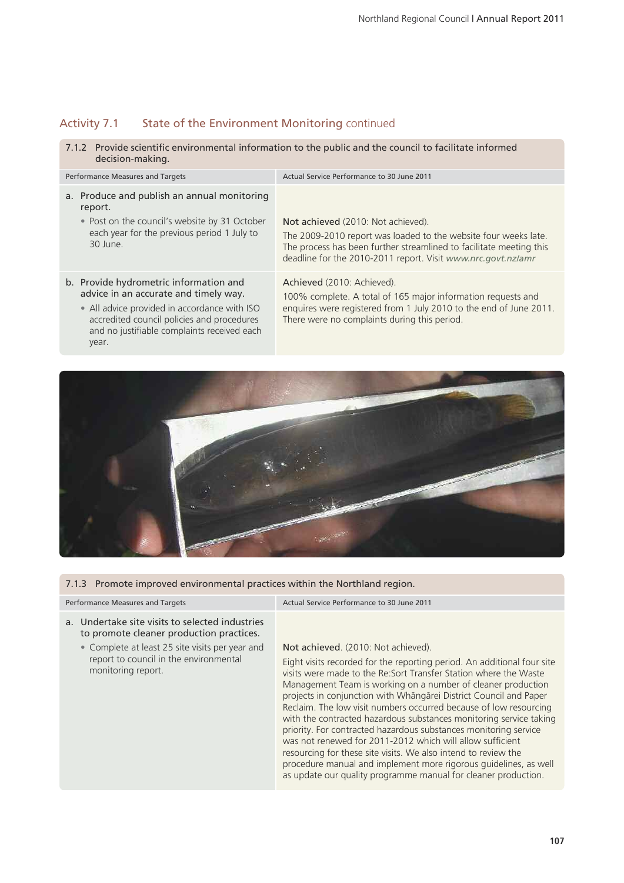### Activity 7.1 State of the Environment Monitoring continued

7.1.2 Provide scientific environmental information to the public and the council to facilitate informed decision-making.

| Performance Measures and Targets                                                                                                                                                                                                      | Actual Service Performance to 30 June 2011                                                                                                                                                                                                   |
|---------------------------------------------------------------------------------------------------------------------------------------------------------------------------------------------------------------------------------------|----------------------------------------------------------------------------------------------------------------------------------------------------------------------------------------------------------------------------------------------|
| a. Produce and publish an annual monitoring<br>report.<br>• Post on the council's website by 31 October<br>each year for the previous period 1 July to<br>$30$ lune                                                                   | Not achieved (2010: Not achieved).<br>The 2009-2010 report was loaded to the website four weeks late.<br>The process has been further streamlined to facilitate meeting this<br>deadline for the 2010-2011 report. Visit www.nrc.govt.nz/amr |
| b. Provide hydrometric information and<br>advice in an accurate and timely way.<br>• All advice provided in accordance with ISO<br>accredited council policies and procedures<br>and no justifiable complaints received each<br>year. | Achieved (2010: Achieved).<br>100% complete. A total of 165 major information requests and<br>enquires were registered from 1 July 2010 to the end of June 2011.<br>There were no complaints during this period.                             |



### 7.1.3 Promote improved environmental practices within the Northland region.

### a. Undertake site visits to selected industries to promote cleaner production practices.

• Complete at least 25 site visits per year and report to council in the environmental monitoring report.

Performance Measures and Targets Actual Service Performance to 30 June 2011

### Not achieved. (2010: Not achieved).

Eight visits recorded for the reporting period. An additional four site visits were made to the Re:Sort Transfer Station where the Waste Management Team is working on a number of cleaner production projects in conjunction with Whängärei District Council and Paper Reclaim. The low visit numbers occurred because of low resourcing with the contracted hazardous substances monitoring service taking priority. For contracted hazardous substances monitoring service was not renewed for 2011-2012 which will allow sufficient resourcing for these site visits. We also intend to review the procedure manual and implement more rigorous guidelines, as well as update our quality programme manual for cleaner production.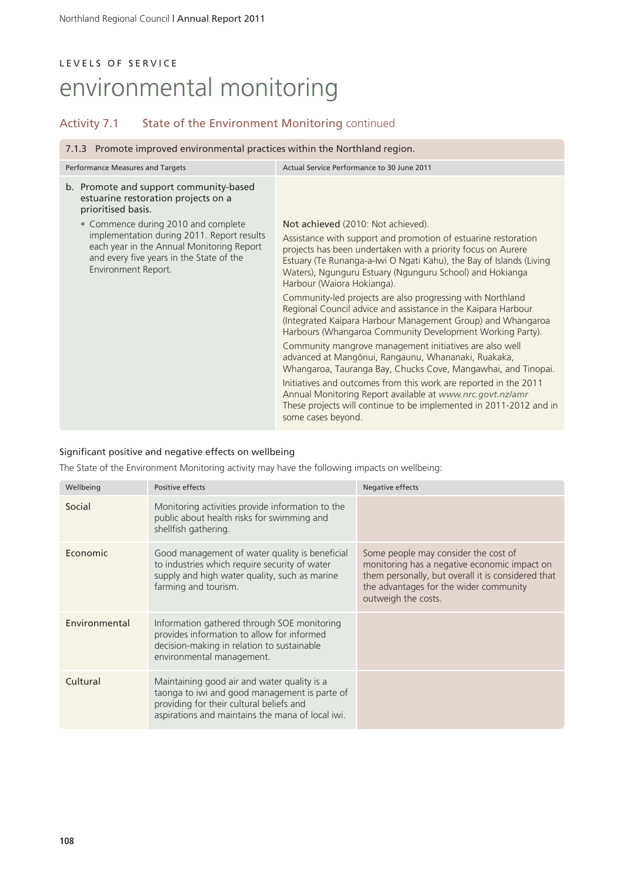### Activity 7.1 State of the Environment Monitoring continued

### 7.1.3 Promote improved environmental practices within the Northland region.

| Not achieved (2010: Not achieved).<br>Assistance with support and promotion of estuarine restoration                                                                                                                                                                                                                                                                                                                                                                                                          |
|---------------------------------------------------------------------------------------------------------------------------------------------------------------------------------------------------------------------------------------------------------------------------------------------------------------------------------------------------------------------------------------------------------------------------------------------------------------------------------------------------------------|
|                                                                                                                                                                                                                                                                                                                                                                                                                                                                                                               |
| projects has been undertaken with a priority focus on Aurere<br>Estuary (Te Runanga-a-Iwi O Ngati Kahu), the Bay of Islands (Living<br>Waters), Ngunguru Estuary (Ngunguru School) and Hokianga<br>Harbour (Waiora Hokianga).<br>Community-led projects are also progressing with Northland                                                                                                                                                                                                                   |
| Regional Council advice and assistance in the Kaipara Harbour<br>(Integrated Kaipara Harbour Management Group) and Whangaroa<br>Harbours (Whangaroa Community Development Working Party).<br>Community mangrove management initiatives are also well<br>advanced at Mangōnui, Rangaunu, Whananaki, Ruakaka,<br>Whangaroa, Tauranga Bay, Chucks Cove, Mangawhai, and Tinopai.<br>Initiatives and outcomes from this work are reported in the 2011<br>Annual Monitoring Report available at www.nrc.govt.nz/amr |
|                                                                                                                                                                                                                                                                                                                                                                                                                                                                                                               |

### Significant positive and negative effects on wellbeing

The State of the Environment Monitoring activity may have the following impacts on wellbeing:

| Wellbeing     | Positive effects                                                                                                                                                                             | Negative effects                                                                                                                                                                                            |
|---------------|----------------------------------------------------------------------------------------------------------------------------------------------------------------------------------------------|-------------------------------------------------------------------------------------------------------------------------------------------------------------------------------------------------------------|
| Social        | Monitoring activities provide information to the<br>public about health risks for swimming and<br>shellfish gathering.                                                                       |                                                                                                                                                                                                             |
| Economic      | Good management of water quality is beneficial<br>to industries which require security of water<br>supply and high water quality, such as marine<br>farming and tourism.                     | Some people may consider the cost of<br>monitoring has a negative economic impact on<br>them personally, but overall it is considered that<br>the advantages for the wider community<br>outweigh the costs. |
| Environmental | Information gathered through SOE monitoring<br>provides information to allow for informed<br>decision-making in relation to sustainable<br>environmental management.                         |                                                                                                                                                                                                             |
| Cultural      | Maintaining good air and water quality is a<br>taonga to iwi and good management is parte of<br>providing for their cultural beliefs and<br>aspirations and maintains the mana of local iwi. |                                                                                                                                                                                                             |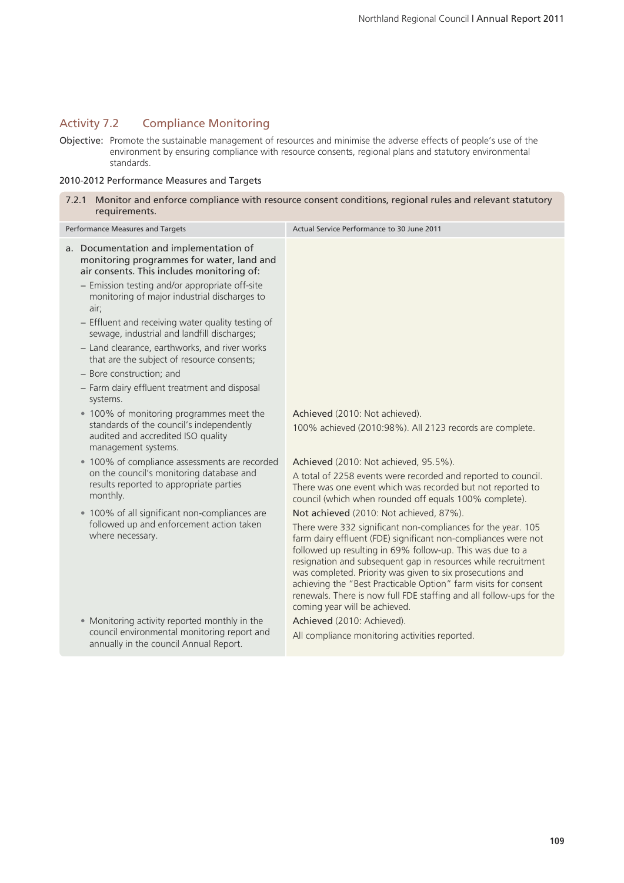### Activity 7.2 Compliance Monitoring

Objective: Promote the sustainable management of resources and minimise the adverse effects of people's use of the environment by ensuring compliance with resource consents, regional plans and statutory environmental standards.

### 2010-2012 Performance Measures and Targets

| 7.2.1 Monitor and enforce compliance with resource consent conditions, regional rules and relevant statutory<br>requirements.                     |                                                                                                                                                                                                                                                                                                                                                                                                                                                                                                      |  |  |
|---------------------------------------------------------------------------------------------------------------------------------------------------|------------------------------------------------------------------------------------------------------------------------------------------------------------------------------------------------------------------------------------------------------------------------------------------------------------------------------------------------------------------------------------------------------------------------------------------------------------------------------------------------------|--|--|
| Performance Measures and Targets                                                                                                                  | Actual Service Performance to 30 June 2011                                                                                                                                                                                                                                                                                                                                                                                                                                                           |  |  |
| a. Documentation and implementation of<br>monitoring programmes for water, land and<br>air consents. This includes monitoring of:                 |                                                                                                                                                                                                                                                                                                                                                                                                                                                                                                      |  |  |
| - Emission testing and/or appropriate off-site<br>monitoring of major industrial discharges to<br>air;                                            |                                                                                                                                                                                                                                                                                                                                                                                                                                                                                                      |  |  |
| - Effluent and receiving water quality testing of<br>sewage, industrial and landfill discharges;                                                  |                                                                                                                                                                                                                                                                                                                                                                                                                                                                                                      |  |  |
| - Land clearance, earthworks, and river works<br>that are the subject of resource consents;                                                       |                                                                                                                                                                                                                                                                                                                                                                                                                                                                                                      |  |  |
| - Bore construction; and                                                                                                                          |                                                                                                                                                                                                                                                                                                                                                                                                                                                                                                      |  |  |
| - Farm dairy effluent treatment and disposal<br>systems.                                                                                          |                                                                                                                                                                                                                                                                                                                                                                                                                                                                                                      |  |  |
| • 100% of monitoring programmes meet the<br>standards of the council's independently<br>audited and accredited ISO quality<br>management systems. | Achieved (2010: Not achieved).<br>100% achieved (2010:98%). All 2123 records are complete.                                                                                                                                                                                                                                                                                                                                                                                                           |  |  |
| • 100% of compliance assessments are recorded                                                                                                     | Achieved (2010: Not achieved, 95.5%).                                                                                                                                                                                                                                                                                                                                                                                                                                                                |  |  |
| on the council's monitoring database and<br>results reported to appropriate parties<br>monthly.                                                   | A total of 2258 events were recorded and reported to council.<br>There was one event which was recorded but not reported to<br>council (which when rounded off equals 100% complete).                                                                                                                                                                                                                                                                                                                |  |  |
| • 100% of all significant non-compliances are                                                                                                     | Not achieved (2010: Not achieved, 87%).                                                                                                                                                                                                                                                                                                                                                                                                                                                              |  |  |
| followed up and enforcement action taken<br>where necessary.                                                                                      | There were 332 significant non-compliances for the year. 105<br>farm dairy effluent (FDE) significant non-compliances were not<br>followed up resulting in 69% follow-up. This was due to a<br>resignation and subsequent gap in resources while recruitment<br>was completed. Priority was given to six prosecutions and<br>achieving the "Best Practicable Option" farm visits for consent<br>renewals. There is now full FDE staffing and all follow-ups for the<br>coming year will be achieved. |  |  |
| • Monitoring activity reported monthly in the                                                                                                     | Achieved (2010: Achieved).                                                                                                                                                                                                                                                                                                                                                                                                                                                                           |  |  |
| council environmental monitoring report and<br>annually in the council Annual Report.                                                             | All compliance monitoring activities reported.                                                                                                                                                                                                                                                                                                                                                                                                                                                       |  |  |
|                                                                                                                                                   |                                                                                                                                                                                                                                                                                                                                                                                                                                                                                                      |  |  |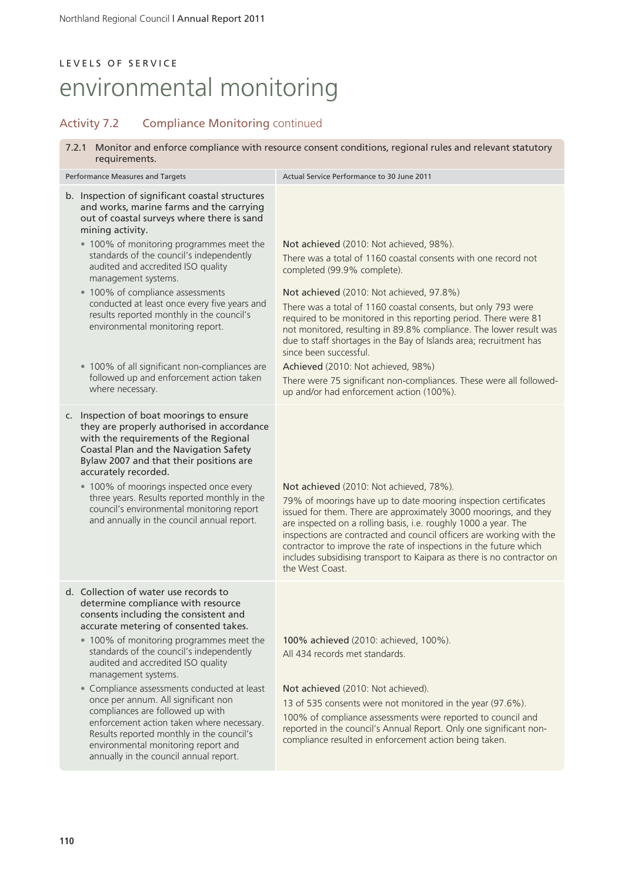### Activity 7.2 Compliance Monitoring continued

7.2.1 Monitor and enforce compliance with resource consent conditions, regional rules and relevant statutory requirements.

| Performance Measures and Targets                                                                                                                                                                                                                                                                                                                                                                                                                                                                                                                                                                                        | Actual Service Performance to 30 June 2011                                                                                                                                                                                                                                                                                                                                                                                                                                                  |  |  |
|-------------------------------------------------------------------------------------------------------------------------------------------------------------------------------------------------------------------------------------------------------------------------------------------------------------------------------------------------------------------------------------------------------------------------------------------------------------------------------------------------------------------------------------------------------------------------------------------------------------------------|---------------------------------------------------------------------------------------------------------------------------------------------------------------------------------------------------------------------------------------------------------------------------------------------------------------------------------------------------------------------------------------------------------------------------------------------------------------------------------------------|--|--|
| b. Inspection of significant coastal structures<br>and works, marine farms and the carrying<br>out of coastal surveys where there is sand<br>mining activity.                                                                                                                                                                                                                                                                                                                                                                                                                                                           |                                                                                                                                                                                                                                                                                                                                                                                                                                                                                             |  |  |
| . 100% of monitoring programmes meet the<br>standards of the council's independently<br>audited and accredited ISO quality<br>management systems.                                                                                                                                                                                                                                                                                                                                                                                                                                                                       | Not achieved (2010: Not achieved, 98%).<br>There was a total of 1160 coastal consents with one record not<br>completed (99.9% complete).                                                                                                                                                                                                                                                                                                                                                    |  |  |
| • 100% of compliance assessments<br>conducted at least once every five years and<br>results reported monthly in the council's<br>environmental monitoring report.                                                                                                                                                                                                                                                                                                                                                                                                                                                       | Not achieved (2010: Not achieved, 97.8%)<br>There was a total of 1160 coastal consents, but only 793 were<br>required to be monitored in this reporting period. There were 81<br>not monitored, resulting in 89.8% compliance. The lower result was<br>due to staff shortages in the Bay of Islands area; recruitment has<br>since been successful.                                                                                                                                         |  |  |
| • 100% of all significant non-compliances are<br>followed up and enforcement action taken<br>where necessary.                                                                                                                                                                                                                                                                                                                                                                                                                                                                                                           | Achieved (2010: Not achieved, 98%)<br>There were 75 significant non-compliances. These were all followed-<br>up and/or had enforcement action (100%).                                                                                                                                                                                                                                                                                                                                       |  |  |
| Inspection of boat moorings to ensure<br>C.<br>they are properly authorised in accordance<br>with the requirements of the Regional<br>Coastal Plan and the Navigation Safety<br>Bylaw 2007 and that their positions are<br>accurately recorded.<br>• 100% of moorings inspected once every<br>three years. Results reported monthly in the<br>council's environmental monitoring report<br>and annually in the council annual report.                                                                                                                                                                                   | Not achieved (2010: Not achieved, 78%).<br>79% of moorings have up to date mooring inspection certificates<br>issued for them. There are approximately 3000 moorings, and they<br>are inspected on a rolling basis, i.e. roughly 1000 a year. The<br>inspections are contracted and council officers are working with the<br>contractor to improve the rate of inspections in the future which<br>includes subsidising transport to Kaipara as there is no contractor on<br>the West Coast. |  |  |
| d. Collection of water use records to<br>determine compliance with resource<br>consents including the consistent and<br>accurate metering of consented takes.<br>• 100% of monitoring programmes meet the<br>standards of the council's independently<br>audited and accredited ISO quality<br>management systems.<br>• Compliance assessments conducted at least<br>once per annum. All significant non<br>compliances are followed up with<br>enforcement action taken where necessary.<br>Results reported monthly in the council's<br>environmental monitoring report and<br>annually in the council annual report. | 100% achieved (2010: achieved, 100%).<br>All 434 records met standards.<br>Not achieved (2010: Not achieved).<br>13 of 535 consents were not monitored in the year (97.6%).<br>100% of compliance assessments were reported to council and<br>reported in the council's Annual Report. Only one significant non-<br>compliance resulted in enforcement action being taken.                                                                                                                  |  |  |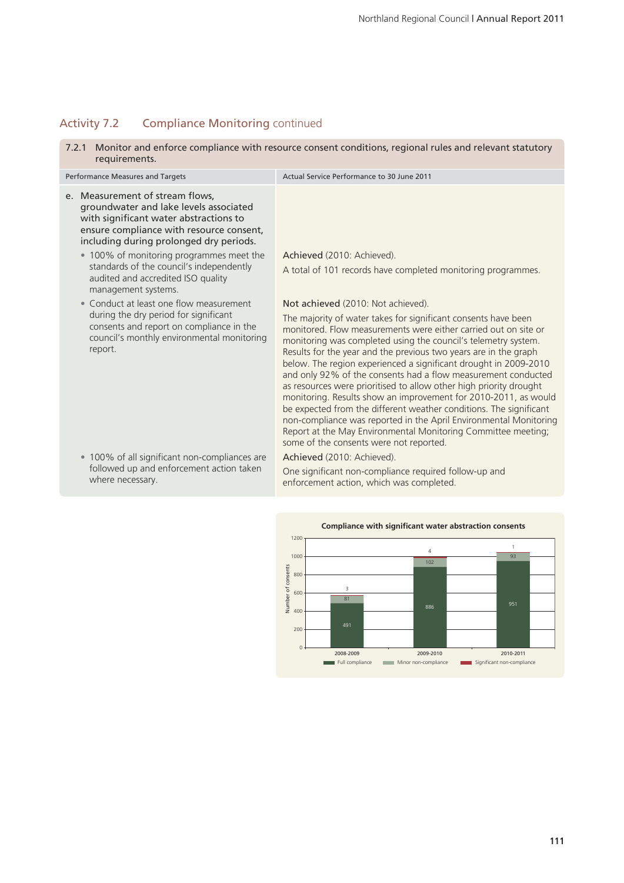## Activity 7.2 Compliance Monitoring continued

7.2.1 Monitor and enforce compliance with resource consent conditions, regional rules and relevant statutory requirements.

| <b>Performance Measures and Targets</b> |                                                                                                                                                                                                                                                                                                                                                                 | Actual Service Performance to 30 June 2011                                                                                                                                                                                                                                                                                                                                                                                                                                                                                                                                                                                                                                                                                                                                                                                                         |  |  |
|-----------------------------------------|-----------------------------------------------------------------------------------------------------------------------------------------------------------------------------------------------------------------------------------------------------------------------------------------------------------------------------------------------------------------|----------------------------------------------------------------------------------------------------------------------------------------------------------------------------------------------------------------------------------------------------------------------------------------------------------------------------------------------------------------------------------------------------------------------------------------------------------------------------------------------------------------------------------------------------------------------------------------------------------------------------------------------------------------------------------------------------------------------------------------------------------------------------------------------------------------------------------------------------|--|--|
|                                         | e. Measurement of stream flows,<br>groundwater and lake levels associated<br>with significant water abstractions to<br>ensure compliance with resource consent,<br>including during prolonged dry periods.<br>• 100% of monitoring programmes meet the<br>standards of the council's independently<br>audited and accredited ISO quality<br>management systems. | Achieved (2010: Achieved).<br>A total of 101 records have completed monitoring programmes.                                                                                                                                                                                                                                                                                                                                                                                                                                                                                                                                                                                                                                                                                                                                                         |  |  |
|                                         | • Conduct at least one flow measurement<br>during the dry period for significant<br>consents and report on compliance in the<br>council's monthly environmental monitoring<br>report.                                                                                                                                                                           | Not achieved (2010: Not achieved).<br>The majority of water takes for significant consents have been<br>monitored. Flow measurements were either carried out on site or<br>monitoring was completed using the council's telemetry system.<br>Results for the year and the previous two years are in the graph<br>below. The region experienced a significant drought in 2009-2010<br>and only 92% of the consents had a flow measurement conducted<br>as resources were prioritised to allow other high priority drought<br>monitoring. Results show an improvement for 2010-2011, as would<br>be expected from the different weather conditions. The significant<br>non-compliance was reported in the April Environmental Monitoring<br>Report at the May Environmental Monitoring Committee meeting;<br>some of the consents were not reported. |  |  |
|                                         | • 100% of all significant non-compliances are<br>followed up and enforcement action taken<br>where necessary.                                                                                                                                                                                                                                                   | Achieved (2010: Achieved).<br>One significant non-compliance required follow-up and<br>enforcement action, which was completed.                                                                                                                                                                                                                                                                                                                                                                                                                                                                                                                                                                                                                                                                                                                    |  |  |
|                                         |                                                                                                                                                                                                                                                                                                                                                                 |                                                                                                                                                                                                                                                                                                                                                                                                                                                                                                                                                                                                                                                                                                                                                                                                                                                    |  |  |

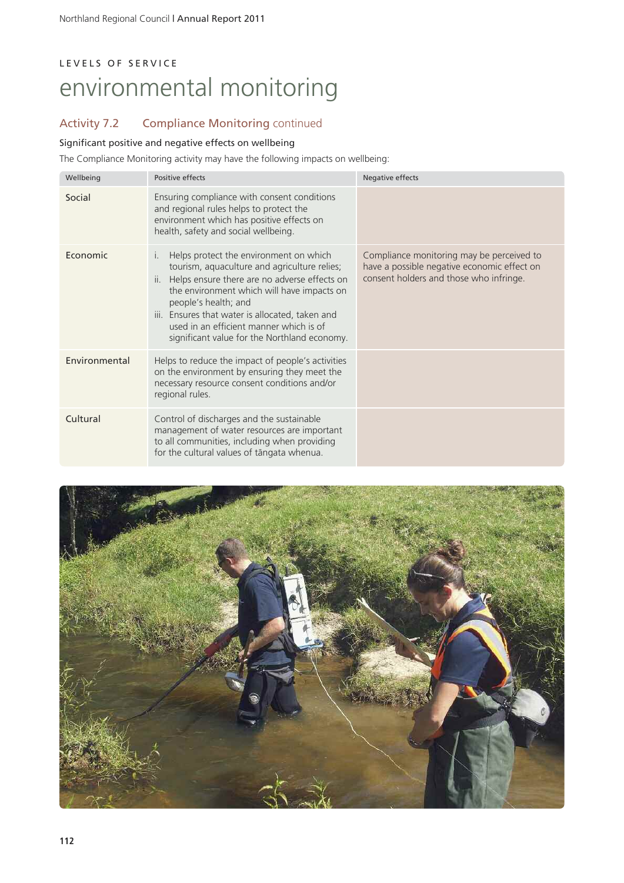# Activity 7.2 Compliance Monitoring continued

### Significant positive and negative effects on wellbeing

The Compliance Monitoring activity may have the following impacts on wellbeing:

| Wellbeing     | Positive effects                                                                                                                                                                                                                                                                                                                                                               | Negative effects                                                                                                                    |
|---------------|--------------------------------------------------------------------------------------------------------------------------------------------------------------------------------------------------------------------------------------------------------------------------------------------------------------------------------------------------------------------------------|-------------------------------------------------------------------------------------------------------------------------------------|
| Social        | Ensuring compliance with consent conditions<br>and regional rules helps to protect the<br>environment which has positive effects on<br>health, safety and social wellbeing.                                                                                                                                                                                                    |                                                                                                                                     |
| Economic      | Helps protect the environment on which<br>$\mathsf{L}$<br>tourism, aquaculture and agriculture relies;<br>ii. Helps ensure there are no adverse effects on<br>the environment which will have impacts on<br>people's health; and<br>iii. Ensures that water is allocated, taken and<br>used in an efficient manner which is of<br>significant value for the Northland economy. | Compliance monitoring may be perceived to<br>have a possible negative economic effect on<br>consent holders and those who infringe. |
| Environmental | Helps to reduce the impact of people's activities<br>on the environment by ensuring they meet the<br>necessary resource consent conditions and/or<br>regional rules.                                                                                                                                                                                                           |                                                                                                                                     |
| Cultural      | Control of discharges and the sustainable<br>management of water resources are important<br>to all communities, including when providing<br>for the cultural values of tāngata whenua.                                                                                                                                                                                         |                                                                                                                                     |

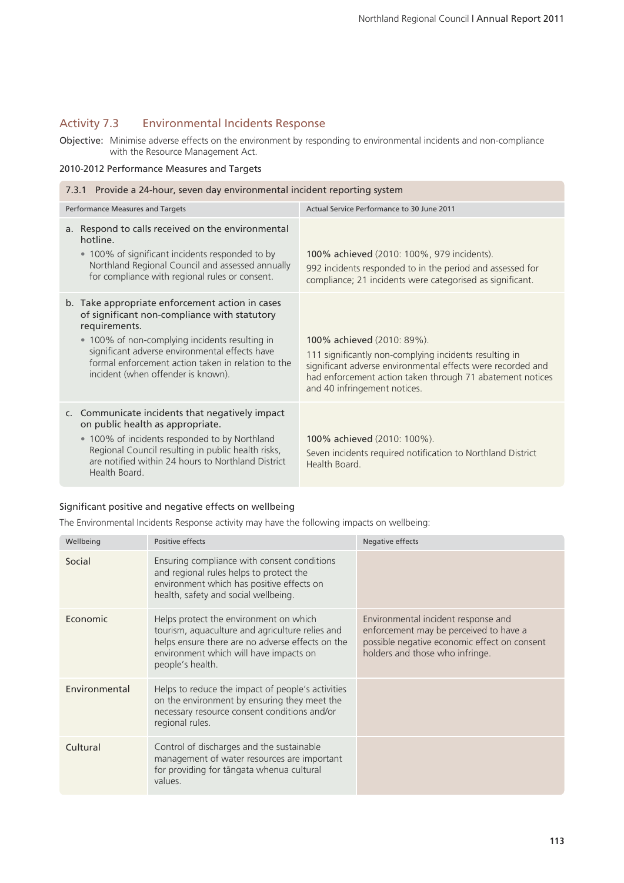### Activity 7.3 Environmental Incidents Response

Objective: Minimise adverse effects on the environment by responding to environmental incidents and non-compliance with the Resource Management Act.

### 2010-2012 Performance Measures and Targets

| 7.3.1 Provide a 24-hour, seven day environmental incident reporting system                                                                                                                                                                                                                                       |                                                                                                                                                                                                                                                  |  |  |  |
|------------------------------------------------------------------------------------------------------------------------------------------------------------------------------------------------------------------------------------------------------------------------------------------------------------------|--------------------------------------------------------------------------------------------------------------------------------------------------------------------------------------------------------------------------------------------------|--|--|--|
| Performance Measures and Targets                                                                                                                                                                                                                                                                                 | Actual Service Performance to 30 June 2011                                                                                                                                                                                                       |  |  |  |
| a. Respond to calls received on the environmental<br>hotline.<br>• 100% of significant incidents responded to by<br>Northland Regional Council and assessed annually<br>for compliance with regional rules or consent.                                                                                           | 100% achieved (2010: 100%, 979 incidents).<br>992 incidents responded to in the period and assessed for<br>compliance; 21 incidents were categorised as significant.                                                                             |  |  |  |
| b. Take appropriate enforcement action in cases<br>of significant non-compliance with statutory<br>requirements.<br>• 100% of non-complying incidents resulting in<br>significant adverse environmental effects have<br>formal enforcement action taken in relation to the<br>incident (when offender is known). | 100% achieved (2010: 89%).<br>111 significantly non-complying incidents resulting in<br>significant adverse environmental effects were recorded and<br>had enforcement action taken through 71 abatement notices<br>and 40 infringement notices. |  |  |  |
| c. Communicate incidents that negatively impact<br>on public health as appropriate.<br>• 100% of incidents responded to by Northland<br>Regional Council resulting in public health risks,<br>are notified within 24 hours to Northland District<br>Health Board.                                                | 100% achieved (2010: 100%).<br>Seven incidents required notification to Northland District<br>Health Board.                                                                                                                                      |  |  |  |

### Significant positive and negative effects on wellbeing

The Environmental Incidents Response activity may have the following impacts on wellbeing:

| Wellbeing     | Positive effects                                                                                                                                                                                            | Negative effects                                                                                                                                                 |
|---------------|-------------------------------------------------------------------------------------------------------------------------------------------------------------------------------------------------------------|------------------------------------------------------------------------------------------------------------------------------------------------------------------|
| Social        | Ensuring compliance with consent conditions<br>and regional rules helps to protect the<br>environment which has positive effects on<br>health, safety and social wellbeing.                                 |                                                                                                                                                                  |
| Economic      | Helps protect the environment on which<br>tourism, aquaculture and agriculture relies and<br>helps ensure there are no adverse effects on the<br>environment which will have impacts on<br>people's health. | Environmental incident response and<br>enforcement may be perceived to have a<br>possible negative economic effect on consent<br>holders and those who infringe. |
| Environmental | Helps to reduce the impact of people's activities<br>on the environment by ensuring they meet the<br>necessary resource consent conditions and/or<br>regional rules.                                        |                                                                                                                                                                  |
| Cultural      | Control of discharges and the sustainable<br>management of water resources are important<br>for providing for tāngata whenua cultural<br>values.                                                            |                                                                                                                                                                  |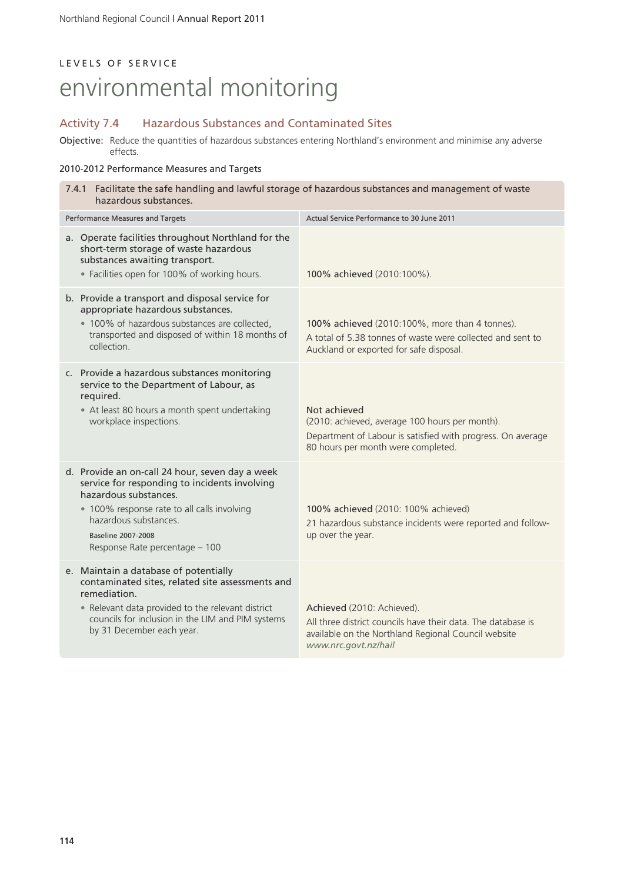# L E V E L S O F S E R V I C E

# environmental monitoring

### Activity 7.4 Hazardous Substances and Contaminated Sites

Objective: Reduce the quantities of hazardous substances entering Northland's environment and minimise any adverse effects.

### 2010-2012 Performance Measures and Targets

| 7.4.1 Facilitate the safe handling and lawful storage of hazardous substances and management of waste<br>hazardous substances. |                                                                                                                                                                                                                                                                  |                                                                                                                                                                           |  |
|--------------------------------------------------------------------------------------------------------------------------------|------------------------------------------------------------------------------------------------------------------------------------------------------------------------------------------------------------------------------------------------------------------|---------------------------------------------------------------------------------------------------------------------------------------------------------------------------|--|
| Performance Measures and Targets                                                                                               |                                                                                                                                                                                                                                                                  | Actual Service Performance to 30 June 2011                                                                                                                                |  |
|                                                                                                                                | a. Operate facilities throughout Northland for the<br>short-term storage of waste hazardous<br>substances awaiting transport.<br>· Facilities open for 100% of working hours.                                                                                    | 100% achieved (2010:100%).                                                                                                                                                |  |
|                                                                                                                                | b. Provide a transport and disposal service for<br>appropriate hazardous substances.<br>• 100% of hazardous substances are collected,<br>transported and disposed of within 18 months of<br>collection.                                                          | 100% achieved (2010:100%, more than 4 tonnes).<br>A total of 5.38 tonnes of waste were collected and sent to<br>Auckland or exported for safe disposal.                   |  |
|                                                                                                                                | c. Provide a hazardous substances monitoring<br>service to the Department of Labour, as<br>required.<br>• At least 80 hours a month spent undertaking<br>workplace inspections.                                                                                  | Not achieved<br>(2010: achieved, average 100 hours per month).<br>Department of Labour is satisfied with progress. On average<br>80 hours per month were completed.       |  |
|                                                                                                                                | d. Provide an on-call 24 hour, seven day a week<br>service for responding to incidents involving<br>hazardous substances.<br>. 100% response rate to all calls involving<br>hazardous substances.<br><b>Baseline 2007-2008</b><br>Response Rate percentage - 100 | 100% achieved (2010: 100% achieved)<br>21 hazardous substance incidents were reported and follow-<br>up over the year.                                                    |  |
|                                                                                                                                | e. Maintain a database of potentially<br>contaminated sites, related site assessments and<br>remediation.<br>• Relevant data provided to the relevant district<br>councils for inclusion in the LIM and PIM systems<br>by 31 December each year.                 | Achieved (2010: Achieved).<br>All three district councils have their data. The database is<br>available on the Northland Regional Council website<br>www.nrc.govt.nz/hail |  |